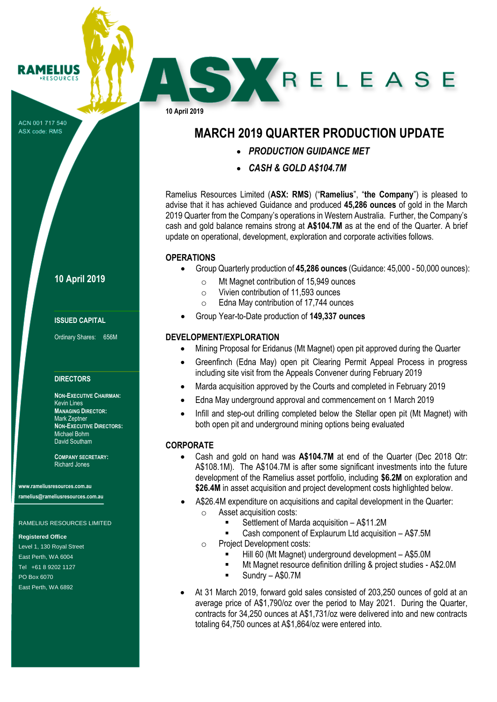ACN 001 717 540 ASX code: RMS

**RAMELIUS RESOURCES** 

# **10 April 2019**

#### **ISSUED CAPITAL**

Ordinary Shares: 656M

#### **DIRECTORS**

**NON-EXECUTIVE CHAIRMAN:** Kevin Lines **MANAGING DIRECTOR:** Mark Zeptner **NON-EXECUTIVE DIRECTORS:** Michael Bohm David Southam

**COMPANY SECRETARY:** Richard Jones

**www.rameliusresources.com.au ramelius@rameliusresources.com.au**

#### RAMELIUS RESOURCES LIMITED

#### **Registered Office**

Level 1, 130 Royal Street East Perth, WA 6004 Tel +61 8 9202 1127 PO Box 6070 East Perth, WA 6892

**10 April 2019**

# **MARCH 2019 QUARTER PRODUCTION UPDATE**

**SY RELEASE** 

- *PRODUCTION GUIDANCE MET*
- *CASH & GOLD A\$104.7M*

Ramelius Resources Limited (**ASX: RMS**) ("**Ramelius**", "**the Company**") is pleased to advise that it has achieved Guidance and produced **45,286 ounces** of gold in the March 2019 Quarter from the Company's operations in Western Australia. Further, the Company's cash and gold balance remains strong at **A\$104.7M** as at the end of the Quarter. A brief update on operational, development, exploration and corporate activities follows.

#### **OPERATIONS**

- Group Quarterly production of **45,286 ounces** (Guidance: 45,000 50,000 ounces):
	- o Mt Magnet contribution of 15,949 ounces
	- o Vivien contribution of 11,593 ounces
	- o Edna May contribution of 17,744 ounces
- Group Year-to-Date production of **149,337 ounces**

### **DEVELOPMENT/EXPLORATION**

- Mining Proposal for Eridanus (Mt Magnet) open pit approved during the Quarter
- Greenfinch (Edna May) open pit Clearing Permit Appeal Process in progress including site visit from the Appeals Convener during February 2019
- Marda acquisition approved by the Courts and completed in February 2019
- Edna May underground approval and commencement on 1 March 2019
- Infill and step-out drilling completed below the Stellar open pit (Mt Magnet) with both open pit and underground mining options being evaluated

## **CORPORATE**

- Cash and gold on hand was **A\$104.7M** at end of the Quarter (Dec 2018 Qtr: A\$108.1M). The A\$104.7M is after some significant investments into the future development of the Ramelius asset portfolio, including **\$6.2M** on exploration and **\$26.4M** in asset acquisition and project development costs highlighted below.
- A\$26.4M expenditure on acquisitions and capital development in the Quarter: o Asset acquisition costs:
	- Settlement of Marda acquisition A\$11.2M
	- Cash component of Explaurum Ltd acquisition A\$7.5M
	- o Project Development costs:
		- Hill 60 (Mt Magnet) underground development A\$5.0M
		- Mt Magnet resource definition drilling & project studies A\$2.0M
		- $S$ undry A\$0.7M
- At 31 March 2019, forward gold sales consisted of 203,250 ounces of gold at an average price of A\$1,790/oz over the period to May 2021. During the Quarter, contracts for 34,250 ounces at A\$1,731/oz were delivered into and new contracts totaling 64,750 ounces at A\$1,864/oz were entered into.